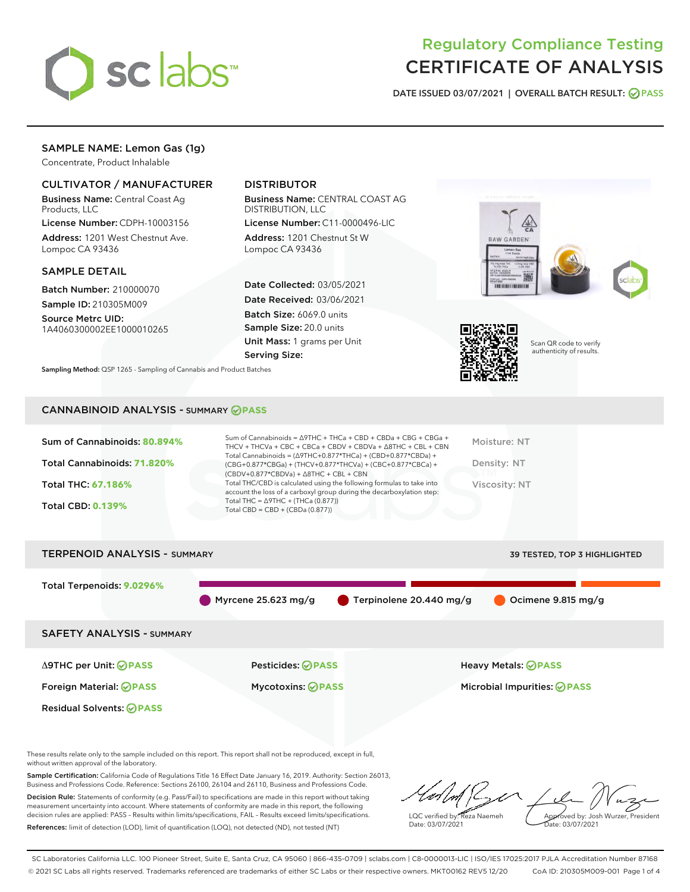

# Regulatory Compliance Testing CERTIFICATE OF ANALYSIS

DATE ISSUED 03/07/2021 | OVERALL BATCH RESULT: @ PASS

# SAMPLE NAME: Lemon Gas (1g)

Concentrate, Product Inhalable

# CULTIVATOR / MANUFACTURER

Business Name: Central Coast Ag Products, LLC

License Number: CDPH-10003156 Address: 1201 West Chestnut Ave. Lompoc CA 93436

#### SAMPLE DETAIL

Batch Number: 210000070 Sample ID: 210305M009

Source Metrc UID: 1A4060300002EE1000010265

# DISTRIBUTOR

Business Name: CENTRAL COAST AG DISTRIBUTION, LLC

License Number: C11-0000496-LIC Address: 1201 Chestnut St W Lompoc CA 93436

Date Collected: 03/05/2021 Date Received: 03/06/2021 Batch Size: 6069.0 units Sample Size: 20.0 units Unit Mass: 1 grams per Unit Serving Size:





Scan QR code to verify authenticity of results.

CANNABINOID ANALYSIS - SUMMARY **PASS**

Sampling Method: QSP 1265 - Sampling of Cannabis and Product Batches

| Sum of Cannabinoids: 80.894% | Sum of Cannabinoids = ∆9THC + THCa + CBD + CBDa + CBG + CBGa +<br>THCV + THCVa + CBC + CBCa + CBDV + CBDVa + $\Delta$ 8THC + CBL + CBN                                               | Moisture: NT  |
|------------------------------|--------------------------------------------------------------------------------------------------------------------------------------------------------------------------------------|---------------|
| Total Cannabinoids: 71.820%  | Total Cannabinoids = $(\Delta$ 9THC+0.877*THCa) + (CBD+0.877*CBDa) +<br>(CBG+0.877*CBGa) + (THCV+0.877*THCVa) + (CBC+0.877*CBCa) +<br>$(CBDV+0.877*CBDVa) + \Delta 8THC + CBL + CBN$ | Density: NT   |
| <b>Total THC: 67.186%</b>    | Total THC/CBD is calculated using the following formulas to take into<br>account the loss of a carboxyl group during the decarboxylation step:                                       | Viscosity: NT |
| <b>Total CBD: 0.139%</b>     | Total THC = $\triangle$ 9THC + (THCa (0.877))<br>Total CBD = $CBD + (CBDa (0.877))$                                                                                                  |               |
|                              |                                                                                                                                                                                      |               |



These results relate only to the sample included on this report. This report shall not be reproduced, except in full, without written approval of the laboratory.

Sample Certification: California Code of Regulations Title 16 Effect Date January 16, 2019. Authority: Section 26013, Business and Professions Code. Reference: Sections 26100, 26104 and 26110, Business and Professions Code.

Decision Rule: Statements of conformity (e.g. Pass/Fail) to specifications are made in this report without taking measurement uncertainty into account. Where statements of conformity are made in this report, the following decision rules are applied: PASS – Results within limits/specifications, FAIL – Results exceed limits/specifications. References: limit of detection (LOD), limit of quantification (LOQ), not detected (ND), not tested (NT)

LQC verified by: Reza Naemeh Date: 03/07/2021 Approved by: Josh Wurzer, President Date: 03/07/2021

SC Laboratories California LLC. 100 Pioneer Street, Suite E, Santa Cruz, CA 95060 | 866-435-0709 | sclabs.com | C8-0000013-LIC | ISO/IES 17025:2017 PJLA Accreditation Number 87168 © 2021 SC Labs all rights reserved. Trademarks referenced are trademarks of either SC Labs or their respective owners. MKT00162 REV5 12/20 CoA ID: 210305M009-001 Page 1 of 4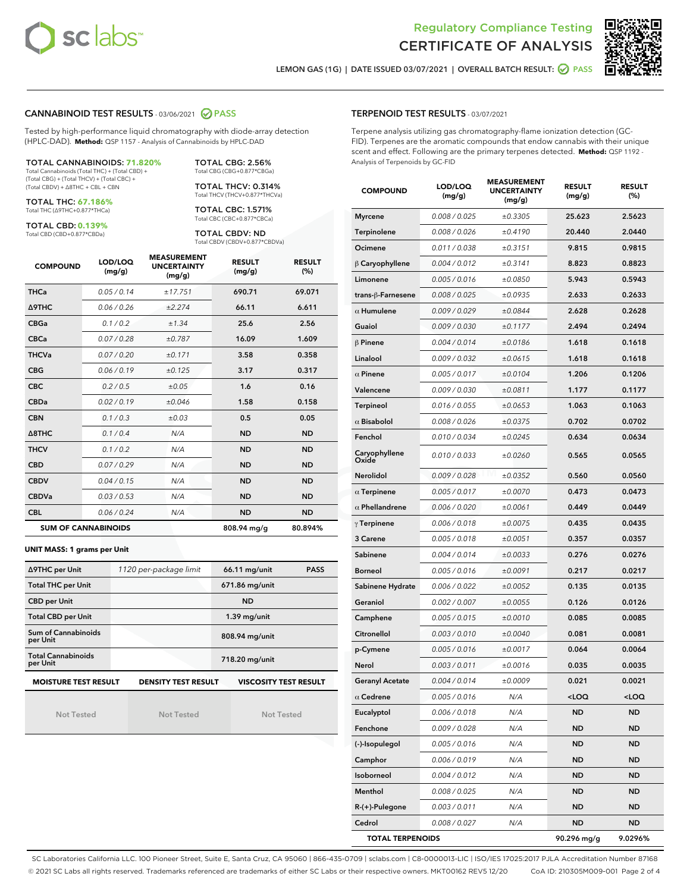



LEMON GAS (1G) | DATE ISSUED 03/07/2021 | OVERALL BATCH RESULT: @ PASS

#### CANNABINOID TEST RESULTS - 03/06/2021 2 PASS

Tested by high-performance liquid chromatography with diode-array detection (HPLC-DAD). **Method:** QSP 1157 - Analysis of Cannabinoids by HPLC-DAD

TOTAL CANNABINOIDS: **71.820%** Total Cannabinoids (Total THC) + (Total CBD) + (Total CBG) + (Total THCV) + (Total CBC) +

(Total CBDV) + ∆8THC + CBL + CBN TOTAL THC: **67.186%**

Total THC (∆9THC+0.877\*THCa)

TOTAL CBD: **0.139%**

Total CBD (CBD+0.877\*CBDa)

TOTAL CBG: 2.56% Total CBG (CBG+0.877\*CBGa)

TOTAL THCV: 0.314% Total THCV (THCV+0.877\*THCVa)

TOTAL CBC: 1.571% Total CBC (CBC+0.877\*CBCa)

TOTAL CBDV: ND Total CBDV (CBDV+0.877\*CBDVa)

| <b>COMPOUND</b>  | LOD/LOQ<br>(mg/g)          | <b>MEASUREMENT</b><br><b>UNCERTAINTY</b><br>(mg/g) | <b>RESULT</b><br>(mg/g) | <b>RESULT</b><br>(%) |
|------------------|----------------------------|----------------------------------------------------|-------------------------|----------------------|
| <b>THCa</b>      | 0.05/0.14                  | ±17.751                                            | 690.71                  | 69.071               |
| <b>A9THC</b>     | 0.06 / 0.26                | ±2.274                                             | 66.11                   | 6.611                |
| <b>CBGa</b>      | 0.1 / 0.2                  | ±1.34                                              | 25.6                    | 2.56                 |
| <b>CBCa</b>      | 0.07/0.28                  | ±0.787                                             | 16.09                   | 1.609                |
| <b>THCVa</b>     | 0.07/0.20                  | ±0.171                                             | 3.58                    | 0.358                |
| <b>CBG</b>       | 0.06/0.19                  | ±0.125                                             | 3.17                    | 0.317                |
| <b>CBC</b>       | 0.2 / 0.5                  | ±0.05                                              | 1.6                     | 0.16                 |
| <b>CBDa</b>      | 0.02/0.19                  | ±0.046                                             | 1.58                    | 0.158                |
| <b>CBN</b>       | 0.1/0.3                    | ±0.03                                              | 0.5                     | 0.05                 |
| $\triangle$ 8THC | 0.1 / 0.4                  | N/A                                                | <b>ND</b>               | <b>ND</b>            |
| <b>THCV</b>      | 0.1/0.2                    | N/A                                                | <b>ND</b>               | <b>ND</b>            |
| <b>CBD</b>       | 0.07/0.29                  | N/A                                                | <b>ND</b>               | <b>ND</b>            |
| <b>CBDV</b>      | 0.04 / 0.15                | N/A                                                | <b>ND</b>               | <b>ND</b>            |
| <b>CBDVa</b>     | 0.03/0.53                  | N/A                                                | <b>ND</b>               | <b>ND</b>            |
| <b>CBL</b>       | 0.06 / 0.24                | N/A                                                | <b>ND</b>               | <b>ND</b>            |
|                  | <b>SUM OF CANNABINOIDS</b> |                                                    | 808.94 mg/g             | 80.894%              |

#### **UNIT MASS: 1 grams per Unit**

| ∆9THC per Unit                                                                            | 1120 per-package limit | 66.11 mg/unit  | <b>PASS</b> |  |  |
|-------------------------------------------------------------------------------------------|------------------------|----------------|-------------|--|--|
| <b>Total THC per Unit</b>                                                                 |                        | 671.86 mg/unit |             |  |  |
| <b>CBD per Unit</b>                                                                       |                        | <b>ND</b>      |             |  |  |
| <b>Total CBD per Unit</b>                                                                 |                        | $1.39$ mg/unit |             |  |  |
| Sum of Cannabinoids<br>per Unit                                                           |                        | 808.94 mg/unit |             |  |  |
| <b>Total Cannabinoids</b><br>per Unit                                                     |                        | 718.20 mg/unit |             |  |  |
| <b>MOISTURE TEST RESULT</b><br><b>VISCOSITY TEST RESULT</b><br><b>DENSITY TEST RESULT</b> |                        |                |             |  |  |

Not Tested

Not Tested

Not Tested

#### TERPENOID TEST RESULTS - 03/07/2021

Terpene analysis utilizing gas chromatography-flame ionization detection (GC-FID). Terpenes are the aromatic compounds that endow cannabis with their unique scent and effect. Following are the primary terpenes detected. **Method:** QSP 1192 - Analysis of Terpenoids by GC-FID

| <b>COMPOUND</b>         | LOD/LOQ<br>(mg/g)    | <b>MEASUREMENT</b><br><b>UNCERTAINTY</b><br>(mg/g) | <b>RESULT</b><br>(mg/g) | <b>RESULT</b><br>(%) |
|-------------------------|----------------------|----------------------------------------------------|-------------------------|----------------------|
| <b>Myrcene</b>          | 0.008 / 0.025        | ±0.3305                                            | 25.623                  | 2.5623               |
| Terpinolene             | 0.008 / 0.026        | ±0.4190                                            | 20.440                  | 2.0440               |
| Ocimene                 | 0.011 / 0.038        | ±0.3151                                            | 9.815                   | 0.9815               |
| $\upbeta$ Caryophyllene | 0.004 / 0.012        | ±0.3141                                            | 8.823                   | 0.8823               |
| Limonene                | 0.005 / 0.016        | ±0.0850                                            | 5.943                   | 0.5943               |
| trans-ß-Farnesene       | 0.008 / 0.025        | ±0.0935                                            | 2.633                   | 0.2633               |
| $\alpha$ Humulene       | 0.009/0.029          | ±0.0844                                            | 2.628                   | 0.2628               |
| Guaiol                  | 0.009 / 0.030        | ±0.1177                                            | 2.494                   | 0.2494               |
| $\beta$ Pinene          | 0.004 / 0.014        | ±0.0186                                            | 1.618                   | 0.1618               |
| Linalool                | 0.009 / 0.032        | ±0.0615                                            | 1.618                   | 0.1618               |
| $\alpha$ Pinene         | 0.005 / 0.017        | ±0.0104                                            | 1.206                   | 0.1206               |
| Valencene               | <i>0.009 / 0.030</i> | ±0.0811                                            | 1.177                   | 0.1177               |
| Terpineol               | 0.016 / 0.055        | ±0.0653                                            | 1.063                   | 0.1063               |
| $\alpha$ Bisabolol      | 0.008 / 0.026        | ±0.0375                                            | 0.702                   | 0.0702               |
| Fenchol                 | 0.010 / 0.034        | ±0.0245                                            | 0.634                   | 0.0634               |
| Caryophyllene<br>Oxide  | 0.010 / 0.033        | ±0.0260                                            | 0.565                   | 0.0565               |
| Nerolidol               | 0.009 / 0.028        | ±0.0352                                            | 0.560                   | 0.0560               |
| $\alpha$ Terpinene      | 0.005 / 0.017        | ±0.0070                                            | 0.473                   | 0.0473               |
| $\alpha$ Phellandrene   | 0.006 / 0.020        | ±0.0061                                            | 0.449                   | 0.0449               |
| $\gamma$ Terpinene      | 0.006 / 0.018        | ±0.0075                                            | 0.435                   | 0.0435               |
| 3 Carene                | 0.005 / 0.018        | ±0.0051                                            | 0.357                   | 0.0357               |
| Sabinene                | 0.004 / 0.014        | ±0.0033                                            | 0.276                   | 0.0276               |
| <b>Borneol</b>          | 0.005 / 0.016        | ±0.0091                                            | 0.217                   | 0.0217               |
| Sabinene Hydrate        | 0.006 / 0.022        | ±0.0052                                            | 0.135                   | 0.0135               |
| Geraniol                | 0.002 / 0.007        | ±0.0055                                            | 0.126                   | 0.0126               |
| Camphene                | 0.005 / 0.015        | ±0.0010                                            | 0.085                   | 0.0085               |
| Citronellol             | 0.003 / 0.010        | ±0.0040                                            | 0.081                   | 0.0081               |
| p-Cymene                | 0.005 / 0.016        | ±0.0017                                            | 0.064                   | 0.0064               |
| Nerol                   | 0.003 / 0.011        | ±0.0016                                            | 0.035                   | 0.0035               |
| <b>Geranyl Acetate</b>  | 0.004 / 0.014        | ±0.0009                                            | 0.021                   | 0.0021               |
| $\alpha$ Cedrene        | 0.005 / 0.016        | N/A                                                | 100                     | <loq< th=""></loq<>  |
| Eucalyptol              | 0.006 / 0.018        | N/A                                                | ND                      | ND                   |
| Fenchone                | 0.009 / 0.028        | N/A                                                | ND                      | ND                   |
| (-)-Isopulegol          | 0.005 / 0.016        | N/A                                                | ND                      | ND                   |
| Camphor                 | 0.006 / 0.019        | N/A                                                | <b>ND</b>               | ND                   |
| Isoborneol              | 0.004 / 0.012        | N/A                                                | <b>ND</b>               | ND                   |
| Menthol                 | 0.008 / 0.025        | N/A                                                | ND                      | <b>ND</b>            |
| R-(+)-Pulegone          | 0.003 / 0.011        | N/A                                                | ND                      | ND                   |
| Cedrol                  | 0.008 / 0.027        | N/A                                                | ND                      | ND                   |
| <b>TOTAL TERPENOIDS</b> |                      |                                                    | 90.296 mg/g             | 9.0296%              |

SC Laboratories California LLC. 100 Pioneer Street, Suite E, Santa Cruz, CA 95060 | 866-435-0709 | sclabs.com | C8-0000013-LIC | ISO/IES 17025:2017 PJLA Accreditation Number 87168 © 2021 SC Labs all rights reserved. Trademarks referenced are trademarks of either SC Labs or their respective owners. MKT00162 REV5 12/20 CoA ID: 210305M009-001 Page 2 of 4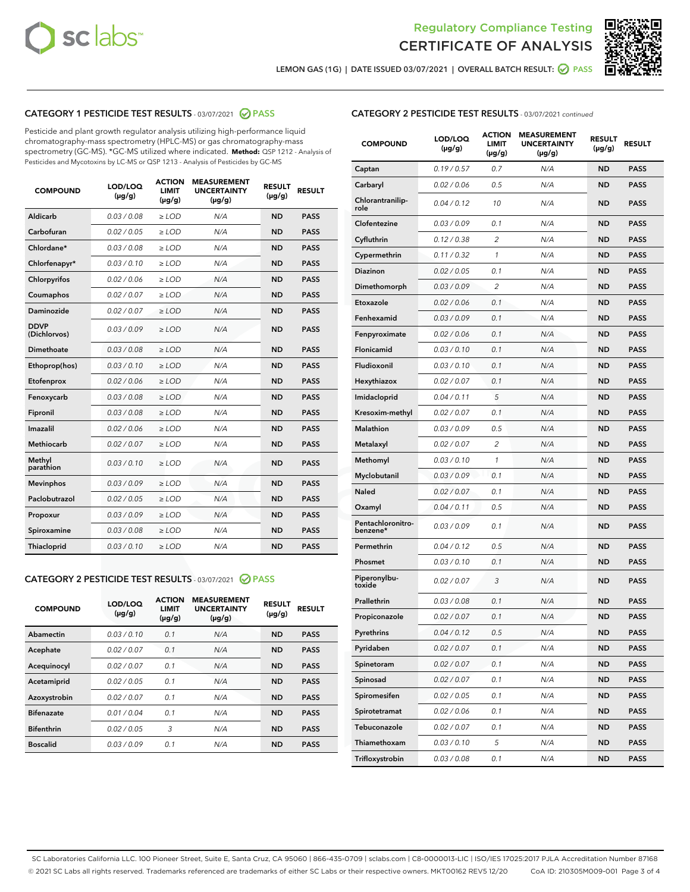



LEMON GAS (1G) | DATE ISSUED 03/07/2021 | OVERALL BATCH RESULT: @ PASS

# CATEGORY 1 PESTICIDE TEST RESULTS - 03/07/2021 2 PASS

Pesticide and plant growth regulator analysis utilizing high-performance liquid chromatography-mass spectrometry (HPLC-MS) or gas chromatography-mass spectrometry (GC-MS). \*GC-MS utilized where indicated. **Method:** QSP 1212 - Analysis of Pesticides and Mycotoxins by LC-MS or QSP 1213 - Analysis of Pesticides by GC-MS

| <b>COMPOUND</b>             | LOD/LOQ<br>$(\mu g/g)$ | <b>ACTION</b><br><b>LIMIT</b><br>$(\mu g/g)$ | <b>MEASUREMENT</b><br><b>UNCERTAINTY</b><br>$(\mu g/g)$ | <b>RESULT</b><br>$(\mu g/g)$ | <b>RESULT</b> |
|-----------------------------|------------------------|----------------------------------------------|---------------------------------------------------------|------------------------------|---------------|
| Aldicarb                    | 0.03 / 0.08            | $\ge$ LOD                                    | N/A                                                     | <b>ND</b>                    | <b>PASS</b>   |
| Carbofuran                  | 0.02 / 0.05            | $\geq$ LOD                                   | N/A                                                     | <b>ND</b>                    | <b>PASS</b>   |
| Chlordane*                  | 0.03/0.08              | $\geq$ LOD                                   | N/A                                                     | <b>ND</b>                    | <b>PASS</b>   |
| Chlorfenapyr*               | 0.03/0.10              | $\geq$ LOD                                   | N/A                                                     | <b>ND</b>                    | <b>PASS</b>   |
| Chlorpyrifos                | 0.02 / 0.06            | $\geq$ LOD                                   | N/A                                                     | <b>ND</b>                    | <b>PASS</b>   |
| Coumaphos                   | 0.02 / 0.07            | $\ge$ LOD                                    | N/A                                                     | <b>ND</b>                    | <b>PASS</b>   |
| Daminozide                  | 0.02/0.07              | $>$ LOD                                      | N/A                                                     | <b>ND</b>                    | <b>PASS</b>   |
| <b>DDVP</b><br>(Dichlorvos) | 0.03/0.09              | $>$ LOD                                      | N/A                                                     | <b>ND</b>                    | <b>PASS</b>   |
| Dimethoate                  | 0.03/0.08              | $\ge$ LOD                                    | N/A                                                     | <b>ND</b>                    | <b>PASS</b>   |
| Ethoprop(hos)               | 0.03/0.10              | $>$ LOD                                      | N/A                                                     | <b>ND</b>                    | <b>PASS</b>   |
| Etofenprox                  | 0.02 / 0.06            | $\ge$ LOD                                    | N/A                                                     | <b>ND</b>                    | <b>PASS</b>   |
| Fenoxycarb                  | 0.03/0.08              | $\ge$ LOD                                    | N/A                                                     | <b>ND</b>                    | <b>PASS</b>   |
| Fipronil                    | 0.03/0.08              | $>$ LOD                                      | N/A                                                     | <b>ND</b>                    | <b>PASS</b>   |
| Imazalil                    | 0.02 / 0.06            | $\ge$ LOD                                    | N/A                                                     | <b>ND</b>                    | <b>PASS</b>   |
| <b>Methiocarb</b>           | 0.02 / 0.07            | $\ge$ LOD                                    | N/A                                                     | <b>ND</b>                    | <b>PASS</b>   |
| Methyl<br>parathion         | 0.03/0.10              | $\ge$ LOD                                    | N/A                                                     | <b>ND</b>                    | <b>PASS</b>   |
| <b>Mevinphos</b>            | 0.03/0.09              | $\ge$ LOD                                    | N/A                                                     | <b>ND</b>                    | <b>PASS</b>   |
| Paclobutrazol               | 0.02 / 0.05            | $\ge$ LOD                                    | N/A                                                     | <b>ND</b>                    | <b>PASS</b>   |
| Propoxur                    | 0.03/0.09              | $\ge$ LOD                                    | N/A                                                     | <b>ND</b>                    | <b>PASS</b>   |
| Spiroxamine                 | 0.03 / 0.08            | $\ge$ LOD                                    | N/A                                                     | <b>ND</b>                    | <b>PASS</b>   |
| Thiacloprid                 | 0.03/0.10              | $\ge$ LOD                                    | N/A                                                     | <b>ND</b>                    | <b>PASS</b>   |

#### CATEGORY 2 PESTICIDE TEST RESULTS - 03/07/2021 @ PASS

| <b>COMPOUND</b>   | LOD/LOQ<br>$(\mu g/g)$ | <b>ACTION</b><br><b>LIMIT</b><br>$(\mu g/g)$ | <b>MEASUREMENT</b><br><b>UNCERTAINTY</b><br>$(\mu g/g)$ | <b>RESULT</b><br>$(\mu g/g)$ | <b>RESULT</b> |
|-------------------|------------------------|----------------------------------------------|---------------------------------------------------------|------------------------------|---------------|
| Abamectin         | 0.03/0.10              | 0.1                                          | N/A                                                     | <b>ND</b>                    | <b>PASS</b>   |
| Acephate          | 0.02/0.07              | 0.1                                          | N/A                                                     | <b>ND</b>                    | <b>PASS</b>   |
| Acequinocyl       | 0.02/0.07              | 0.1                                          | N/A                                                     | <b>ND</b>                    | <b>PASS</b>   |
| Acetamiprid       | 0.02/0.05              | 0.1                                          | N/A                                                     | <b>ND</b>                    | <b>PASS</b>   |
| Azoxystrobin      | 0.02/0.07              | 0.1                                          | N/A                                                     | <b>ND</b>                    | <b>PASS</b>   |
| <b>Bifenazate</b> | 0.01/0.04              | 0.1                                          | N/A                                                     | <b>ND</b>                    | <b>PASS</b>   |
| <b>Bifenthrin</b> | 0.02/0.05              | 3                                            | N/A                                                     | <b>ND</b>                    | <b>PASS</b>   |
| <b>Boscalid</b>   | 0.03/0.09              | 0.1                                          | N/A                                                     | <b>ND</b>                    | <b>PASS</b>   |

## CATEGORY 2 PESTICIDE TEST RESULTS - 03/07/2021 continued

| <b>COMPOUND</b>               | <b>LOD/LOQ</b><br>$(\mu g/g)$ | <b>ACTION</b><br><b>LIMIT</b><br>(µg/g) | <b>MEASUREMENT</b><br><b>UNCERTAINTY</b><br>(µg/g) | <b>RESULT</b><br>(µg/g) | <b>RESULT</b> |
|-------------------------------|-------------------------------|-----------------------------------------|----------------------------------------------------|-------------------------|---------------|
| Captan                        | 0.19/0.57                     | 0.7                                     | N/A                                                | ND                      | <b>PASS</b>   |
| Carbaryl                      | 0.02 / 0.06                   | 0.5                                     | N/A                                                | ND                      | <b>PASS</b>   |
| Chlorantranilip-<br>role      | 0.04 / 0.12                   | 10                                      | N/A                                                | ND                      | <b>PASS</b>   |
| Clofentezine                  | 0.03/0.09                     | 0.1                                     | N/A                                                | <b>ND</b>               | <b>PASS</b>   |
| Cyfluthrin                    | 0.12 / 0.38                   | $\overline{2}$                          | N/A                                                | ND                      | <b>PASS</b>   |
| Cypermethrin                  | 0.11 / 0.32                   | $\mathbf{1}$                            | N/A                                                | ND                      | <b>PASS</b>   |
| <b>Diazinon</b>               | 0.02 / 0.05                   | 0.1                                     | N/A                                                | ND                      | <b>PASS</b>   |
| Dimethomorph                  | 0.03 / 0.09                   | 2                                       | N/A                                                | ND                      | <b>PASS</b>   |
| Etoxazole                     | 0.02 / 0.06                   | 0.1                                     | N/A                                                | ND                      | <b>PASS</b>   |
| Fenhexamid                    | 0.03 / 0.09                   | 0.1                                     | N/A                                                | ND                      | <b>PASS</b>   |
| Fenpyroximate                 | 0.02 / 0.06                   | 0.1                                     | N/A                                                | ND                      | <b>PASS</b>   |
| Flonicamid                    | 0.03 / 0.10                   | 0.1                                     | N/A                                                | ND                      | <b>PASS</b>   |
| Fludioxonil                   | 0.03/0.10                     | 0.1                                     | N/A                                                | ND                      | <b>PASS</b>   |
| Hexythiazox                   | 0.02 / 0.07                   | 0.1                                     | N/A                                                | ND                      | <b>PASS</b>   |
| Imidacloprid                  | 0.04 / 0.11                   | 5                                       | N/A                                                | ND                      | <b>PASS</b>   |
| Kresoxim-methyl               | 0.02 / 0.07                   | 0.1                                     | N/A                                                | ND                      | <b>PASS</b>   |
| <b>Malathion</b>              | 0.03 / 0.09                   | 0.5                                     | N/A                                                | ND                      | <b>PASS</b>   |
| Metalaxyl                     | 0.02 / 0.07                   | 2                                       | N/A                                                | ND                      | <b>PASS</b>   |
| Methomyl                      | 0.03 / 0.10                   | 1                                       | N/A                                                | ND                      | <b>PASS</b>   |
| Myclobutanil                  | 0.03 / 0.09                   | 0.1                                     | N/A                                                | ND                      | <b>PASS</b>   |
| Naled                         | 0.02 / 0.07                   | 0.1                                     | N/A                                                | ND                      | <b>PASS</b>   |
| Oxamyl                        | 0.04 / 0.11                   | 0.5                                     | N/A                                                | ND                      | <b>PASS</b>   |
| Pentachloronitro-<br>benzene* | 0.03 / 0.09                   | 0.1                                     | N/A                                                | ND                      | PASS          |
| Permethrin                    | 0.04 / 0.12                   | 0.5                                     | N/A                                                | ND                      | <b>PASS</b>   |
| Phosmet                       | 0.03 / 0.10                   | 0.1                                     | N/A                                                | ND                      | <b>PASS</b>   |
| Piperonylbu-<br>toxide        | 0.02 / 0.07                   | 3                                       | N/A                                                | ND                      | <b>PASS</b>   |
| Prallethrin                   | 0.03 / 0.08                   | 0.1                                     | N/A                                                | ND                      | <b>PASS</b>   |
| Propiconazole                 | 0.02 / 0.07                   | 0.1                                     | N/A                                                | ND                      | <b>PASS</b>   |
| Pyrethrins                    | 0.04 / 0.12                   | 0.5                                     | N/A                                                | ND                      | PASS          |
| Pyridaben                     | 0.02 / 0.07                   | 0.1                                     | N/A                                                | ND                      | PASS          |
| Spinetoram                    | 0.02 / 0.07                   | 0.1                                     | N/A                                                | ND                      | <b>PASS</b>   |
| Spinosad                      | 0.02 / 0.07                   | 0.1                                     | N/A                                                | ND                      | <b>PASS</b>   |
| Spiromesifen                  | 0.02 / 0.05                   | 0.1                                     | N/A                                                | <b>ND</b>               | <b>PASS</b>   |
| Spirotetramat                 | 0.02 / 0.06                   | 0.1                                     | N/A                                                | <b>ND</b>               | <b>PASS</b>   |
| Tebuconazole                  | 0.02 / 0.07                   | 0.1                                     | N/A                                                | ND                      | <b>PASS</b>   |
| Thiamethoxam                  | 0.03 / 0.10                   | 5                                       | N/A                                                | ND                      | <b>PASS</b>   |
| Trifloxystrobin               | 0.03 / 0.08                   | 0.1                                     | N/A                                                | <b>ND</b>               | <b>PASS</b>   |